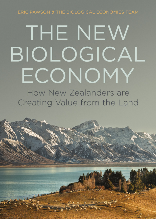ERIC PAWSON & THE BIOLOGICAL ECONOMIES TEAM

## THE NEW BIOLOGICAL ECONOMY How New Zealanders are

Creating Value from the Land

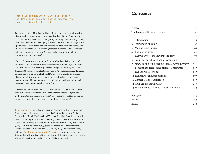**From milk and merino to wine and tourism, how New Zealanders are finding new ways to make a living off the land**

For over a century, New Zealand has built its economy through a series of commodity-based booms – from wood and wool to beef and butter. Now the country faces new challenges. By doubling down on dairy farms, aren't New Zealanders destroying the clean rivers and natural reputation upon which the country's primary exports (and tourism) are based? And in a world where value is increasingly rooted in capital- and technologyintensive industries, can New Zealand really sustain its high living standards by growing grass?

This book takes readers out on to farms, orchards and vineyards, and inside the offices and factories of processors and exporters, to show how New Zealanders are answering these challenges by building *The New Biological Economy*. From Icebreaker to Mr Apple, from milk and merino to wine and tourism, from high-end Berlin restaurants to the shelves of Sainsbury's, innovative companies are creating high-value, unique products, rooted in particular places, and making pathways to the niche markets where they can realise that value.

*The New Biological Economy* poses key questions. Do dairy and tourism have a sustainable future? Can the primary industries keep growing without destroying the natural world? Does the future of New Zealand lie in high tech or in the innovations of a land-based economy?

Eric Pawson is an emeritus professor of geography at the University of Canterbury, recipient of various awards (Distinguished New Zealand Geographer Medal, 2007; National Tertiary Teaching Excellence Award, 2009; University of Canterbury Teaching Medal, 2013), and co-author or co-editor of *Making A New Land: Environmental Histories of New Zealand* (Otago University Press, 2013); *Seeds of Empire: The Environmental Transformation of New Zealand* (I.B. Tauris, 2011) and many scholarly articles. The Biological Economies Team is: Richard Le Heron, Hugh Campbell, Matthew Henry, Erena Le Heron, Katharine Legun, Nick Lewis, Harvey C. Perkins, Michael Roche and Christopher Rosin.

## **Contents**

| Preface                       |                                                 |     |
|-------------------------------|-------------------------------------------------|-----|
| The Biological Economies team |                                                 |     |
|                               |                                                 |     |
| $\mathbf{1}$                  | Introduction                                    | 1   |
| $\overline{c}$                | Dairying in question                            | 20  |
| 3                             | Making lamb futures                             | 41  |
| 4                             | The merino story                                | 61  |
| 5                             | The two lives of the kiwifruit industry         | 79  |
| 6                             | Securing the future of apple production         | 98  |
| $\overline{7}$                | New Zealand wine: seeking success beyond growth | 116 |
| 8                             | Tourism, landscapes and biological resources    | 137 |
| 9                             | The Taniwha economy                             | 157 |
|                               | 10 The Banks Peninsula promise                  | 177 |
|                               | 11 Central Otago transformed                    | 195 |
|                               | 12 Reimagining Hawke's Bay                      | 213 |
|                               | 13 Te Ipu Kai and the Food Innovation Network   | 234 |
|                               |                                                 |     |
| Epilogue                      |                                                 |     |
| <b>Notes</b>                  |                                                 |     |
| Index                         |                                                 |     |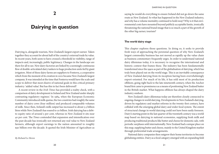## **Dairying in question**

Dairying is, alongside tourism, New Zealand's largest export earner. Taken together they account for about half of the country's external trade by value. In recent years, both seem to have crossed a threshold in visibility, range of impacts and, increasingly, public legitimacy. Changes in the landscape are there for all to see. New dairy factories are linked by a seemingly continuous flow of double-articulated dairy tankers to huge production units fed by giant irrigators. Most of these dairy farms are suppliers to Fonterra, a cooperative which from the moment of its creation in 2001 became New Zealand's largest company. It was intended at the time that Fonterra would have the scale and scope to deliver that most elusive of national goals in this critical primary industry: 'added value'. But has this in fact been delivered?

A recent review in the *Irish Times* has provided a reality check, with a comparison of dairy development in Ireland and New Zealand under sharply contrasting regulatory regimes.<sup>1</sup> In 1984, when the European Economic Community introduced milk quotas, the two countries had roughly the same number of dairy cows (four million) and produced comparable volumes of milk. Since then, Ireland's milk output has increased to about 5.5 billion litres while New Zealand's has soared to 20 billion. Irish dairying has a debtto-equity ratio of around 5 per cent, whereas in New Zealand it sits near 40 per cent. The *Times* contended that expansion and intensification over the past decade has ironically not returned any real value to New Zealand farmers, although export earnings to the nation amounted to roughly \$90 billion over the decade. It quoted the Irish Minister of Agriculture as

*By Richard Le Heron*

saying he would do everything to ensure Ireland did not go down the same route as New Zealand. So what has happened in the New Zealand industry, and why has a volume mentality continued to hold sway? Why is it that environmental costs have mounted beyond publicly acceptable limits, ironically threatening the national brand image that is so much a part of the growth of the other big earner, tourism?

## **The world dairy stage**

This chapter explores those questions. In doing so, it seeks to provide fresh ways of approaching the perennial question of why New Zealand's largest commodity business has not moved as rapidly up the value chain as business commentary frequently urges. In order to understand national dairy dilemmas today, it is necessary to recognise the international and historic context that frames these. The industry has been fundamentally transformed since the 1990s as part of the globalisation of dairying, which has truly been played out on the world stage. This is an inevitable consequence of New Zealand dairying from its inception having been overwhelmingly export-oriented. For much of its life, it has sold most of its production offshore, going right back to the late nineteenth century, when the Anchor brand first came to prominence as a means of positioning New Zealand butter in the British market. What happens offshore has always shaped the dairy industry onshore.

New Zealand's dairy dilemmas today are therefore closely connected to ongoing changes in world dairying. Developments in New Zealand's dairying, driven by regulatory and market reforms in the twenty-first century, have collided with the emerging global dairy and wider food system. The extent of structural change in world dairying could not have been easily foreseen. Dairy's starting point in the last quarter of the twentieth century was a world map based on dairying in national economies, supplying fresh milk and producing traditional products like butter and cheese for domestic sale, with periodic surpluses sold internationally. New Zealand had a unique place on this map, supplying butter and cheese, mainly to the United Kingdom market through preferential trade arrangements.

National dairy companies then outgrew their home territories to become globalising entities. Dairy as a food category emerged with an expanding field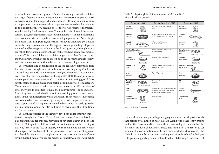of specialty dairy consumer products,<sup>2</sup> melded into a supermarket revolution that began first in the United Kingdom, much of western Europe and North America.3 Global dairy supply chains associated with dairy companies arose to support new consumer-centred and supermarket-centred market relations. In this context, Fonterra became one of the world's foremost ingredients suppliers to big food manufacturers. The supply chains formed the organisational glue, serving supermarkets, food manufacturers and multilocational dairy companies in developed and now developing countries. According to the Boston Consulting Group, dairy sales worldwide amount to \$500 billion annually. They represent not only the biggest revenue-generating category in the food and beverage sector but also the fastest-growing, although profits growth of dairy companies was only half that of food and beverage companies overall.4 This state of global dairy affairs suggests that New Zealand dairying's world view, which could be described as 'produce first (but efficiently) and worry about consumption relations later', is something of a misfit.

The evolution and consolidation of the top ten dairy companies from the late 2000s through to 2016 makes for a revealing story (Table 2.1). The rankings are fairly stable, Fonterra being no exception. The companies are a mix of farmer cooperatives and corporates. Both the corporates and the cooperatives have contributed to the rise of interlinking global dairy supply chains and have played their part in defining dairy as a food category. The 2016 descriptions of their core business values show differing views of what they wish to prioritise to make their dairy futures. The cooperatives (excepting Fonterra, which talks about value-adding products) are conventional in their commercial emphasis and vision. The corporates, in contrast, are diversified in their vision and operating focus. All companies have developed sophisticated strategies to enliven the dairy category, partly geared to new markets like China, but also dedicated to revitalising their traditional markets at home.

The defining features of the industry have been collaboratively orchestrated through the Global Dairy Platform, where Fonterra has been a conspicuous leader through provision of key staff. Begun in 2006 and based in Chicago, this platform made one of its first tasks the retelling of dairying's story in the face of dietary, environmental and animal-welfare challenges. The excitement of this pioneering effort was most apparent first-hand during a visit to the platform in 2010.<sup>5</sup> At that time, staff were saying that full-fat dairy foods are beneficial to health, a deliberate pitch to **Table 2.1:** Top ten global dairy companies in 2009 and 2016, with self-defined profiles.

| <b>Corporates 2009</b>                   |                                   | Core business focus 2016                                                                                       | Corporates 2016                                                      |  |
|------------------------------------------|-----------------------------------|----------------------------------------------------------------------------------------------------------------|----------------------------------------------------------------------|--|
| <b>Nestlé</b><br>(Switzerland)           | <b>Nestlé</b>                     | Nutrition, water, rural develop-<br>ment                                                                       | Nestlé<br>(Switzerland)<br>Nestlē                                    |  |
| Danone<br>(France)                       |                                   | Production and marketing of drinking<br>milk, butter, cheeses, fresh dairy,<br>cream                           | Lactalis<br>(France)                                                 |  |
| Lactalis<br>(France)                     | 8 Q U F<br>:TAL                   | Water, early life nutrition,<br>medical, health                                                                | Danone<br>(France)                                                   |  |
| <b>FrieslandCampina</b><br>(Netherlands) | inestand Compina ski              | Dairy cooperative of choice for<br>milk processing                                                             | <b>Dairy Farmers</b><br>America<br>(USA)<br>Dairy Farmers of America |  |
| Fonterra<br>(New Zealand)                | Fonterra<br><b>Dairy for life</b> | Dairy nutrition, ingredients                                                                                   | <b>Fonterra</b><br>Fonter<br>(New Zealand)<br><b>Dairy for life</b>  |  |
| <b>Dean Foods</b><br>(USA)               |                                   | Supplies dairy products containing<br>valuable nutrients                                                       | FrieslandCampina<br>(Netherlands)<br>inestandCompina th              |  |
| Arla<br>(Denmark)                        |                                   | Eight dairy categories in six<br>regions                                                                       | Arla<br>(Denmark)                                                    |  |
| <b>Dairy Farmers</b><br>America<br>(USA) | Dairy Farmers of America          | Healthy and nutritious dairy<br>products                                                                       | Yili<br>(China)                                                      |  |
| Kraft<br>(USA)                           | KRAF                              | Cheese, fluid milk, extended shelf-life<br>milk and cream products, cultured<br>products and dairy ingredients | Saputo<br><b>Saputo</b><br>(Canada)                                  |  |
| <b>Unilever</b><br>(Netherlands, UK)     | Unilargo                          | Dairy products                                                                                                 | Dean Foods<br>(USA)<br>Dean                                          |  |

Sources: websites of companies

counter the view then prevailing among regulators and health professionals that dairying was linked to heart disease. Along with other lobby groups such as the European Milk Forum, they convinced governments that the fact dairy products contained saturated fats should not be a reason to set limits on the consumption of milk and milk products. More recently the Global Dairy Platform has been working with Google to build a dialogue with groups supporting similar interests to that of dairying to increase trust